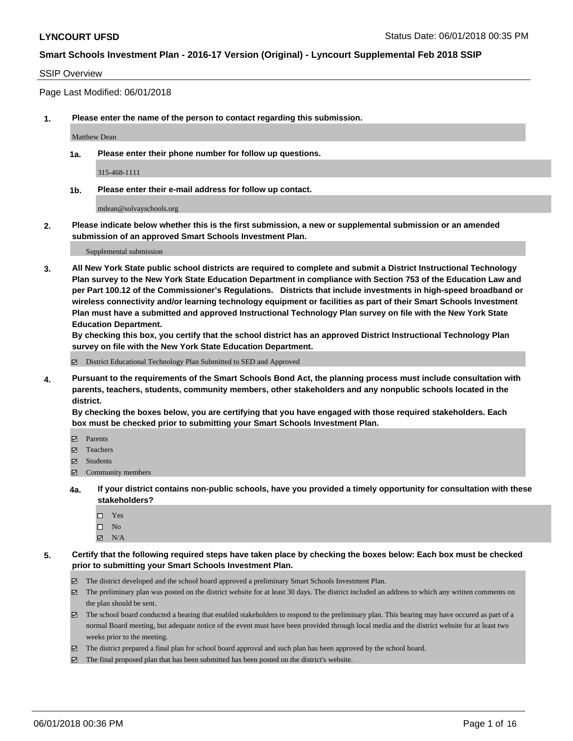### SSIP Overview

Page Last Modified: 06/01/2018

**1. Please enter the name of the person to contact regarding this submission.**

Matthew Dean

**1a. Please enter their phone number for follow up questions.**

315-468-1111

**1b. Please enter their e-mail address for follow up contact.**

mdean@solvayschools.org

**2. Please indicate below whether this is the first submission, a new or supplemental submission or an amended submission of an approved Smart Schools Investment Plan.**

Supplemental submission

**3. All New York State public school districts are required to complete and submit a District Instructional Technology Plan survey to the New York State Education Department in compliance with Section 753 of the Education Law and per Part 100.12 of the Commissioner's Regulations. Districts that include investments in high-speed broadband or wireless connectivity and/or learning technology equipment or facilities as part of their Smart Schools Investment Plan must have a submitted and approved Instructional Technology Plan survey on file with the New York State Education Department.** 

**By checking this box, you certify that the school district has an approved District Instructional Technology Plan survey on file with the New York State Education Department.**

District Educational Technology Plan Submitted to SED and Approved

**4. Pursuant to the requirements of the Smart Schools Bond Act, the planning process must include consultation with parents, teachers, students, community members, other stakeholders and any nonpublic schools located in the district.** 

**By checking the boxes below, you are certifying that you have engaged with those required stakeholders. Each box must be checked prior to submitting your Smart Schools Investment Plan.**

- Parents
- Teachers
- Students
- $\Xi$  Community members
- **4a. If your district contains non-public schools, have you provided a timely opportunity for consultation with these stakeholders?**
	- Yes
	- $\square$  No
	- $N/A$
- **5. Certify that the following required steps have taken place by checking the boxes below: Each box must be checked prior to submitting your Smart Schools Investment Plan.**
	- The district developed and the school board approved a preliminary Smart Schools Investment Plan.
	- $\boxtimes$  The preliminary plan was posted on the district website for at least 30 days. The district included an address to which any written comments on the plan should be sent.
	- $\boxtimes$  The school board conducted a hearing that enabled stakeholders to respond to the preliminary plan. This hearing may have occured as part of a normal Board meeting, but adequate notice of the event must have been provided through local media and the district website for at least two weeks prior to the meeting.
	- The district prepared a final plan for school board approval and such plan has been approved by the school board.
	- $\boxtimes$  The final proposed plan that has been submitted has been posted on the district's website.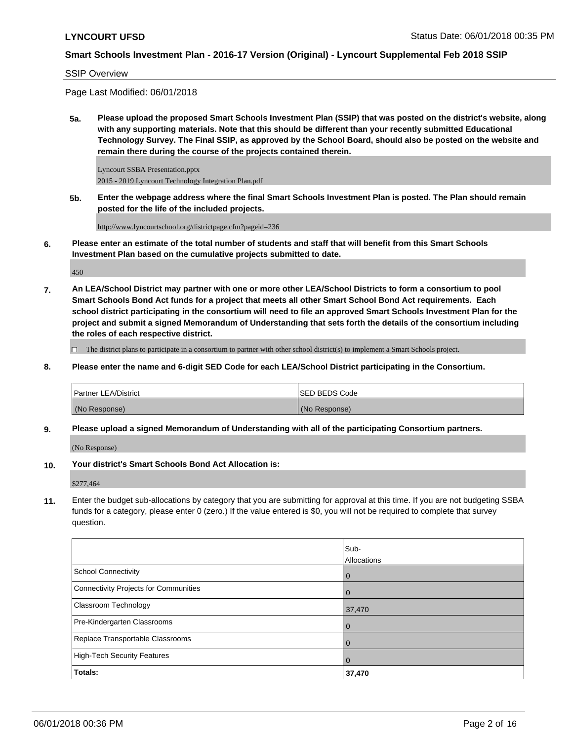SSIP Overview

Page Last Modified: 06/01/2018

**5a. Please upload the proposed Smart Schools Investment Plan (SSIP) that was posted on the district's website, along with any supporting materials. Note that this should be different than your recently submitted Educational Technology Survey. The Final SSIP, as approved by the School Board, should also be posted on the website and remain there during the course of the projects contained therein.**

Lyncourt SSBA Presentation.pptx 2015 - 2019 Lyncourt Technology Integration Plan.pdf

**5b. Enter the webpage address where the final Smart Schools Investment Plan is posted. The Plan should remain posted for the life of the included projects.**

http://www.lyncourtschool.org/districtpage.cfm?pageid=236

**6. Please enter an estimate of the total number of students and staff that will benefit from this Smart Schools Investment Plan based on the cumulative projects submitted to date.**

450

**7. An LEA/School District may partner with one or more other LEA/School Districts to form a consortium to pool Smart Schools Bond Act funds for a project that meets all other Smart School Bond Act requirements. Each school district participating in the consortium will need to file an approved Smart Schools Investment Plan for the project and submit a signed Memorandum of Understanding that sets forth the details of the consortium including the roles of each respective district.**

 $\Box$  The district plans to participate in a consortium to partner with other school district(s) to implement a Smart Schools project.

**8. Please enter the name and 6-digit SED Code for each LEA/School District participating in the Consortium.**

| <b>Partner LEA/District</b> | <b>ISED BEDS Code</b> |
|-----------------------------|-----------------------|
| (No Response)               | (No Response)         |

**9. Please upload a signed Memorandum of Understanding with all of the participating Consortium partners.**

(No Response)

**10. Your district's Smart Schools Bond Act Allocation is:**

\$277,464

**11.** Enter the budget sub-allocations by category that you are submitting for approval at this time. If you are not budgeting SSBA funds for a category, please enter 0 (zero.) If the value entered is \$0, you will not be required to complete that survey question.

|                                       | Sub-           |
|---------------------------------------|----------------|
|                                       | Allocations    |
| <b>School Connectivity</b>            | $\overline{0}$ |
| Connectivity Projects for Communities | $\Omega$       |
| <b>Classroom Technology</b>           | 37,470         |
| Pre-Kindergarten Classrooms           | $\mathbf 0$    |
| Replace Transportable Classrooms      | $\mathbf 0$    |
| High-Tech Security Features           | $\Omega$       |
| Totals:                               | 37,470         |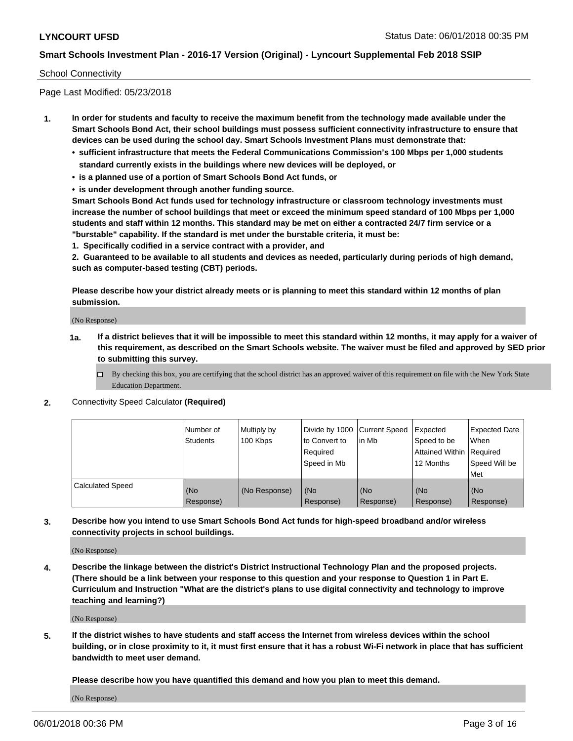#### School Connectivity

Page Last Modified: 05/23/2018

- **1. In order for students and faculty to receive the maximum benefit from the technology made available under the Smart Schools Bond Act, their school buildings must possess sufficient connectivity infrastructure to ensure that devices can be used during the school day. Smart Schools Investment Plans must demonstrate that:**
	- **• sufficient infrastructure that meets the Federal Communications Commission's 100 Mbps per 1,000 students standard currently exists in the buildings where new devices will be deployed, or**
	- **• is a planned use of a portion of Smart Schools Bond Act funds, or**
	- **• is under development through another funding source.**

**Smart Schools Bond Act funds used for technology infrastructure or classroom technology investments must increase the number of school buildings that meet or exceed the minimum speed standard of 100 Mbps per 1,000 students and staff within 12 months. This standard may be met on either a contracted 24/7 firm service or a "burstable" capability. If the standard is met under the burstable criteria, it must be:**

**1. Specifically codified in a service contract with a provider, and**

**2. Guaranteed to be available to all students and devices as needed, particularly during periods of high demand, such as computer-based testing (CBT) periods.**

**Please describe how your district already meets or is planning to meet this standard within 12 months of plan submission.**

(No Response)

- **1a. If a district believes that it will be impossible to meet this standard within 12 months, it may apply for a waiver of this requirement, as described on the Smart Schools website. The waiver must be filed and approved by SED prior to submitting this survey.**
	- By checking this box, you are certifying that the school district has an approved waiver of this requirement on file with the New York State Education Department.
- **2.** Connectivity Speed Calculator **(Required)**

|                         | l Number of<br>Students | Multiply by<br>100 Kbps | Divide by 1000 Current Speed<br>to Convert to<br>Required<br>Speed in Mb | lin Mb           | Expected<br>Speed to be<br>Attained Within   Required<br>12 Months | <b>Expected Date</b><br>When<br>Speed Will be<br>Met |
|-------------------------|-------------------------|-------------------------|--------------------------------------------------------------------------|------------------|--------------------------------------------------------------------|------------------------------------------------------|
| <b>Calculated Speed</b> | (No<br>Response)        | (No Response)           | (No<br>Response)                                                         | (No<br>Response) | (No<br>Response)                                                   | l (No<br>Response)                                   |

**3. Describe how you intend to use Smart Schools Bond Act funds for high-speed broadband and/or wireless connectivity projects in school buildings.**

(No Response)

**4. Describe the linkage between the district's District Instructional Technology Plan and the proposed projects. (There should be a link between your response to this question and your response to Question 1 in Part E. Curriculum and Instruction "What are the district's plans to use digital connectivity and technology to improve teaching and learning?)**

(No Response)

**5. If the district wishes to have students and staff access the Internet from wireless devices within the school building, or in close proximity to it, it must first ensure that it has a robust Wi-Fi network in place that has sufficient bandwidth to meet user demand.**

**Please describe how you have quantified this demand and how you plan to meet this demand.**

(No Response)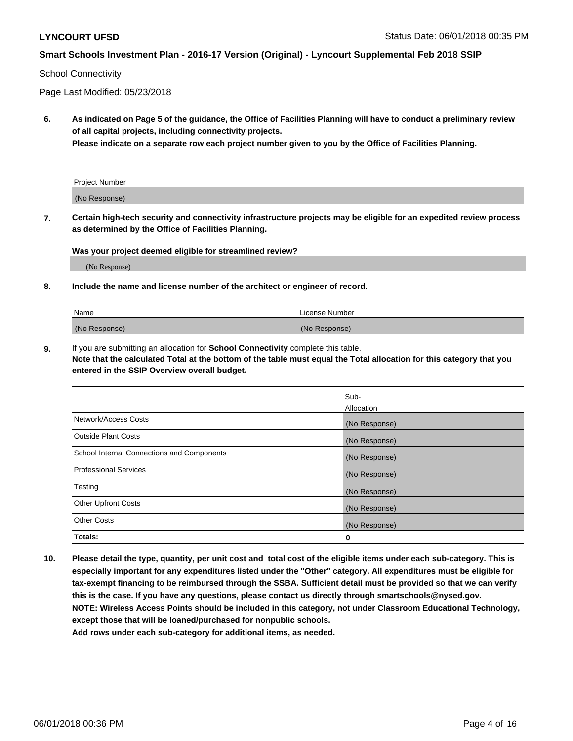#### School Connectivity

Page Last Modified: 05/23/2018

**6. As indicated on Page 5 of the guidance, the Office of Facilities Planning will have to conduct a preliminary review of all capital projects, including connectivity projects.**

**Please indicate on a separate row each project number given to you by the Office of Facilities Planning.**

| Project Number |  |
|----------------|--|
| (No Response)  |  |

**7. Certain high-tech security and connectivity infrastructure projects may be eligible for an expedited review process as determined by the Office of Facilities Planning.**

#### **Was your project deemed eligible for streamlined review?**

(No Response)

#### **8. Include the name and license number of the architect or engineer of record.**

| Name          | License Number |
|---------------|----------------|
| (No Response) | (No Response)  |

**9.** If you are submitting an allocation for **School Connectivity** complete this table.

**Note that the calculated Total at the bottom of the table must equal the Total allocation for this category that you entered in the SSIP Overview overall budget.** 

|                                            | Sub-          |
|--------------------------------------------|---------------|
|                                            | Allocation    |
| Network/Access Costs                       | (No Response) |
| Outside Plant Costs                        | (No Response) |
| School Internal Connections and Components | (No Response) |
| Professional Services                      | (No Response) |
| Testing                                    | (No Response) |
| <b>Other Upfront Costs</b>                 | (No Response) |
| <b>Other Costs</b>                         | (No Response) |
| Totals:                                    | 0             |

**10. Please detail the type, quantity, per unit cost and total cost of the eligible items under each sub-category. This is especially important for any expenditures listed under the "Other" category. All expenditures must be eligible for tax-exempt financing to be reimbursed through the SSBA. Sufficient detail must be provided so that we can verify this is the case. If you have any questions, please contact us directly through smartschools@nysed.gov. NOTE: Wireless Access Points should be included in this category, not under Classroom Educational Technology, except those that will be loaned/purchased for nonpublic schools.**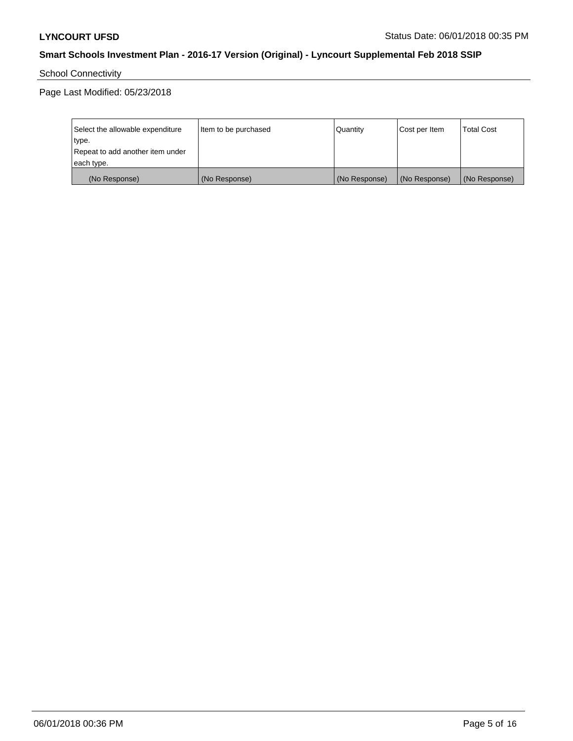School Connectivity

Page Last Modified: 05/23/2018

| Select the allowable expenditure | Item to be purchased | Quantity      | Cost per Item | <b>Total Cost</b> |
|----------------------------------|----------------------|---------------|---------------|-------------------|
| type.                            |                      |               |               |                   |
| Repeat to add another item under |                      |               |               |                   |
| each type.                       |                      |               |               |                   |
| (No Response)                    | (No Response)        | (No Response) | (No Response) | (No Response)     |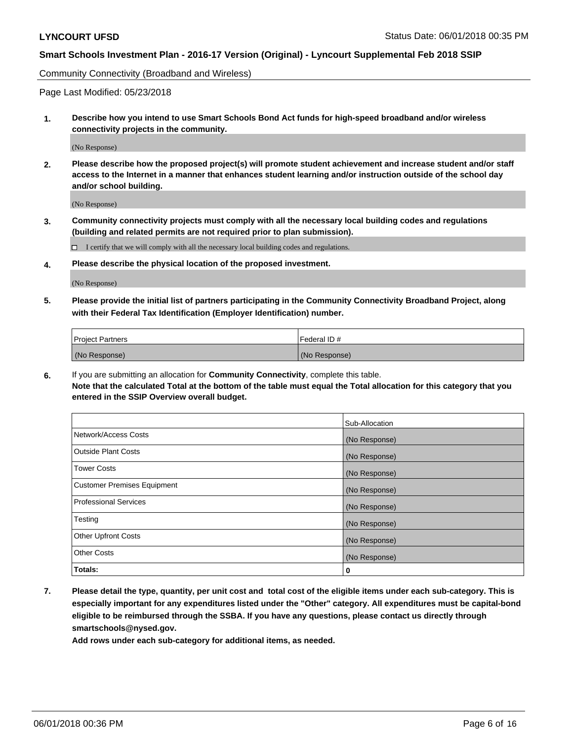Community Connectivity (Broadband and Wireless)

Page Last Modified: 05/23/2018

**1. Describe how you intend to use Smart Schools Bond Act funds for high-speed broadband and/or wireless connectivity projects in the community.**

(No Response)

**2. Please describe how the proposed project(s) will promote student achievement and increase student and/or staff access to the Internet in a manner that enhances student learning and/or instruction outside of the school day and/or school building.**

(No Response)

**3. Community connectivity projects must comply with all the necessary local building codes and regulations (building and related permits are not required prior to plan submission).**

 $\Box$  I certify that we will comply with all the necessary local building codes and regulations.

**4. Please describe the physical location of the proposed investment.**

(No Response)

**5. Please provide the initial list of partners participating in the Community Connectivity Broadband Project, along with their Federal Tax Identification (Employer Identification) number.**

| <b>Project Partners</b> | l Federal ID # |
|-------------------------|----------------|
| (No Response)           | (No Response)  |

**6.** If you are submitting an allocation for **Community Connectivity**, complete this table. **Note that the calculated Total at the bottom of the table must equal the Total allocation for this category that you entered in the SSIP Overview overall budget.**

|                                    | Sub-Allocation |
|------------------------------------|----------------|
| Network/Access Costs               | (No Response)  |
| Outside Plant Costs                | (No Response)  |
| <b>Tower Costs</b>                 | (No Response)  |
| <b>Customer Premises Equipment</b> | (No Response)  |
| Professional Services              | (No Response)  |
| Testing                            | (No Response)  |
| <b>Other Upfront Costs</b>         | (No Response)  |
| <b>Other Costs</b>                 | (No Response)  |
| Totals:                            | 0              |

**7. Please detail the type, quantity, per unit cost and total cost of the eligible items under each sub-category. This is especially important for any expenditures listed under the "Other" category. All expenditures must be capital-bond eligible to be reimbursed through the SSBA. If you have any questions, please contact us directly through smartschools@nysed.gov.**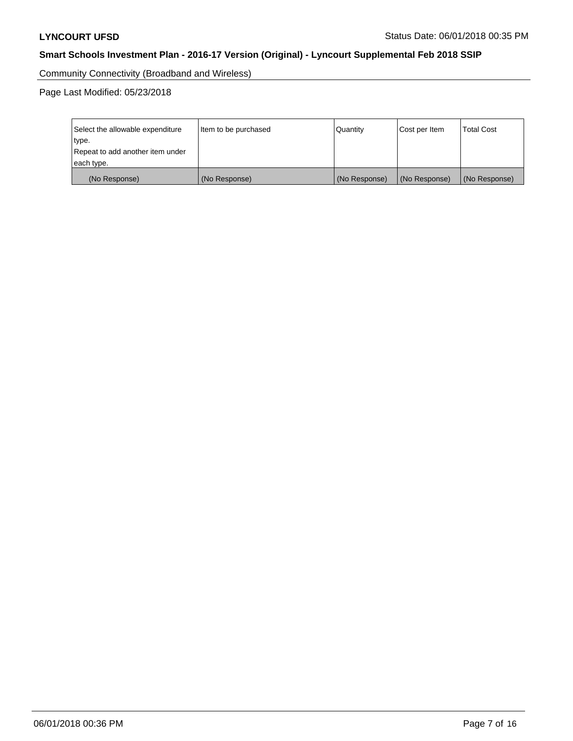Community Connectivity (Broadband and Wireless)

Page Last Modified: 05/23/2018

| Select the allowable expenditure<br>Item to be purchased<br>type.<br>Repeat to add another item under<br>each type. |               | Quantity      | Cost per Item | <b>Total Cost</b> |
|---------------------------------------------------------------------------------------------------------------------|---------------|---------------|---------------|-------------------|
|                                                                                                                     |               |               |               |                   |
| (No Response)                                                                                                       | (No Response) | (No Response) | (No Response) | (No Response)     |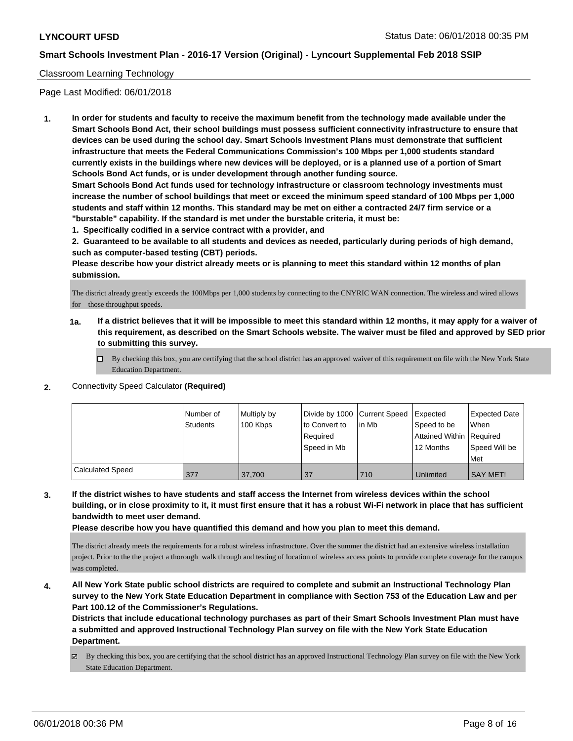### Classroom Learning Technology

Page Last Modified: 06/01/2018

**1. In order for students and faculty to receive the maximum benefit from the technology made available under the Smart Schools Bond Act, their school buildings must possess sufficient connectivity infrastructure to ensure that devices can be used during the school day. Smart Schools Investment Plans must demonstrate that sufficient infrastructure that meets the Federal Communications Commission's 100 Mbps per 1,000 students standard currently exists in the buildings where new devices will be deployed, or is a planned use of a portion of Smart Schools Bond Act funds, or is under development through another funding source.**

**Smart Schools Bond Act funds used for technology infrastructure or classroom technology investments must increase the number of school buildings that meet or exceed the minimum speed standard of 100 Mbps per 1,000 students and staff within 12 months. This standard may be met on either a contracted 24/7 firm service or a "burstable" capability. If the standard is met under the burstable criteria, it must be:**

**1. Specifically codified in a service contract with a provider, and**

**2. Guaranteed to be available to all students and devices as needed, particularly during periods of high demand, such as computer-based testing (CBT) periods.**

**Please describe how your district already meets or is planning to meet this standard within 12 months of plan submission.**

The district already greatly exceeds the 100Mbps per 1,000 students by connecting to the CNYRIC WAN connection. The wireless and wired allows for those throughput speeds.

**1a. If a district believes that it will be impossible to meet this standard within 12 months, it may apply for a waiver of this requirement, as described on the Smart Schools website. The waiver must be filed and approved by SED prior to submitting this survey.**

By checking this box, you are certifying that the school district has an approved waiver of this requirement on file with the New York State Education Department.

#### **2.** Connectivity Speed Calculator **(Required)**

|                         | l Number of<br>Students | Multiply by<br>100 Kbps | to Convert to<br>Required<br>Speed in Mb | Divide by 1000 Current Speed Expected<br>lin Mb | Speed to be<br>Attained Within Required<br>12 Months | Expected Date<br>When<br>Speed Will be<br>Met |
|-------------------------|-------------------------|-------------------------|------------------------------------------|-------------------------------------------------|------------------------------------------------------|-----------------------------------------------|
| <b>Calculated Speed</b> | 377                     | 37.700                  | 37                                       | 710                                             | Unlimited                                            | <b>SAY MET!</b>                               |

## **3. If the district wishes to have students and staff access the Internet from wireless devices within the school building, or in close proximity to it, it must first ensure that it has a robust Wi-Fi network in place that has sufficient bandwidth to meet user demand.**

**Please describe how you have quantified this demand and how you plan to meet this demand.**

The district already meets the requirements for a robust wireless infrastructure. Over the summer the district had an extensive wireless installation project. Prior to the the project a thorough walk through and testing of location of wireless access points to provide complete coverage for the campus was completed.

**4. All New York State public school districts are required to complete and submit an Instructional Technology Plan survey to the New York State Education Department in compliance with Section 753 of the Education Law and per Part 100.12 of the Commissioner's Regulations.**

**Districts that include educational technology purchases as part of their Smart Schools Investment Plan must have a submitted and approved Instructional Technology Plan survey on file with the New York State Education Department.**

By checking this box, you are certifying that the school district has an approved Instructional Technology Plan survey on file with the New York State Education Department.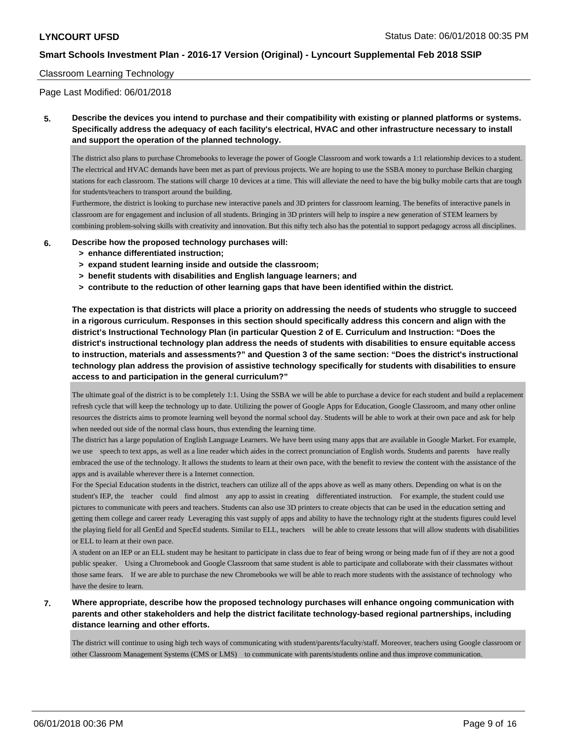#### Classroom Learning Technology

Page Last Modified: 06/01/2018

## **5. Describe the devices you intend to purchase and their compatibility with existing or planned platforms or systems. Specifically address the adequacy of each facility's electrical, HVAC and other infrastructure necessary to install and support the operation of the planned technology.**

The district also plans to purchase Chromebooks to leverage the power of Google Classroom and work towards a 1:1 relationship devices to a student. The electrical and HVAC demands have been met as part of previous projects. We are hoping to use the SSBA money to purchase Belkin charging stations for each classroom. The stations will charge 10 devices at a time. This will alleviate the need to have the big bulky mobile carts that are tough for students/teachers to transport around the building.

Furthermore, the district is looking to purchase new interactive panels and 3D printers for classroom learning. The benefits of interactive panels in classroom are for engagement and inclusion of all students. Bringing in 3D printers will help to inspire a new generation of STEM learners by combining problem-solving skills with creativity and innovation. But this nifty tech also has the potential to support pedagogy across all disciplines.

#### **6. Describe how the proposed technology purchases will:**

- **> enhance differentiated instruction;**
- **> expand student learning inside and outside the classroom;**
- **> benefit students with disabilities and English language learners; and**
- **> contribute to the reduction of other learning gaps that have been identified within the district.**

**The expectation is that districts will place a priority on addressing the needs of students who struggle to succeed in a rigorous curriculum. Responses in this section should specifically address this concern and align with the district's Instructional Technology Plan (in particular Question 2 of E. Curriculum and Instruction: "Does the district's instructional technology plan address the needs of students with disabilities to ensure equitable access to instruction, materials and assessments?" and Question 3 of the same section: "Does the district's instructional technology plan address the provision of assistive technology specifically for students with disabilities to ensure access to and participation in the general curriculum?"**

The ultimate goal of the district is to be completely 1:1. Using the SSBA we will be able to purchase a device for each student and build a replacement refresh cycle that will keep the technology up to date. Utilizing the power of Google Apps for Education, Google Classroom, and many other online resources the districts aims to promote learning well beyond the normal school day. Students will be able to work at their own pace and ask for help when needed out side of the normal class hours, thus extending the learning time.

The district has a large population of English Language Learners. We have been using many apps that are available in Google Market. For example, we use speech to text apps, as well as a line reader which aides in the correct pronunciation of English words. Students and parents have really embraced the use of the technology. It allows the students to learn at their own pace, with the benefit to review the content with the assistance of the apps and is available wherever there is a Internet connection.

For the Special Education students in the district, teachers can utilize all of the apps above as well as many others. Depending on what is on the student's IEP, the teacher could find almost any app to assist in creating differentiated instruction. For example, the student could use pictures to communicate with peers and teachers. Students can also use 3D printers to create objects that can be used in the education setting and getting them college and career ready Leveraging this vast supply of apps and ability to have the technology right at the students figures could level the playing field for all GenEd and SpecEd students. Similar to ELL, teachers will be able to create lessons that will allow students with disabilities or ELL to learn at their own pace.

A student on an IEP or an ELL student may be hesitant to participate in class due to fear of being wrong or being made fun of if they are not a good public speaker. Using a Chromebook and Google Classroom that same student is able to participate and collaborate with their classmates without those same fears. If we are able to purchase the new Chromebooks we will be able to reach more students with the assistance of technology who have the desire to learn.

### **7. Where appropriate, describe how the proposed technology purchases will enhance ongoing communication with parents and other stakeholders and help the district facilitate technology-based regional partnerships, including distance learning and other efforts.**

The district will continue to using high tech ways of communicating with student/parents/faculty/staff. Moreover, teachers using Google classroom or other Classroom Management Systems (CMS or LMS) to communicate with parents/students online and thus improve communication.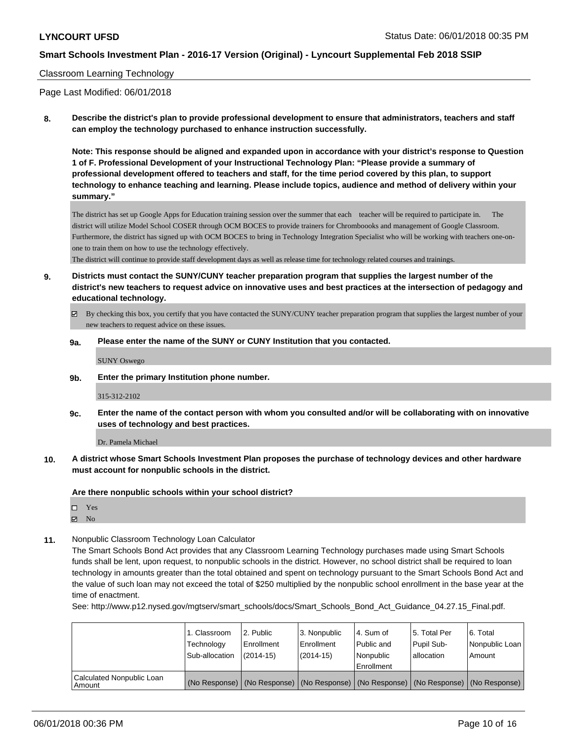### Classroom Learning Technology

Page Last Modified: 06/01/2018

**8. Describe the district's plan to provide professional development to ensure that administrators, teachers and staff can employ the technology purchased to enhance instruction successfully.**

**Note: This response should be aligned and expanded upon in accordance with your district's response to Question 1 of F. Professional Development of your Instructional Technology Plan: "Please provide a summary of professional development offered to teachers and staff, for the time period covered by this plan, to support technology to enhance teaching and learning. Please include topics, audience and method of delivery within your summary."**

The district has set up Google Apps for Education training session over the summer that each teacher will be required to participate in. The district will utilize Model School COSER through OCM BOCES to provide trainers for Chromboooks and management of Google Classroom. Furthermore, the district has signed up with OCM BOCES to bring in Technology Integration Specialist who will be working with teachers one-onone to train them on how to use the technology effectively.

The district will continue to provide staff development days as well as release time for technology related courses and trainings.

- **9. Districts must contact the SUNY/CUNY teacher preparation program that supplies the largest number of the district's new teachers to request advice on innovative uses and best practices at the intersection of pedagogy and educational technology.**
	- By checking this box, you certify that you have contacted the SUNY/CUNY teacher preparation program that supplies the largest number of your new teachers to request advice on these issues.
	- **9a. Please enter the name of the SUNY or CUNY Institution that you contacted.**

SUNY Oswego

**9b. Enter the primary Institution phone number.**

315-312-2102

**9c. Enter the name of the contact person with whom you consulted and/or will be collaborating with on innovative uses of technology and best practices.**

Dr. Pamela Michael

**10. A district whose Smart Schools Investment Plan proposes the purchase of technology devices and other hardware must account for nonpublic schools in the district.**

**Are there nonpublic schools within your school district?**

Yes

- $\boxtimes$  No
- **11.** Nonpublic Classroom Technology Loan Calculator

The Smart Schools Bond Act provides that any Classroom Learning Technology purchases made using Smart Schools funds shall be lent, upon request, to nonpublic schools in the district. However, no school district shall be required to loan technology in amounts greater than the total obtained and spent on technology pursuant to the Smart Schools Bond Act and the value of such loan may not exceed the total of \$250 multiplied by the nonpublic school enrollment in the base year at the time of enactment.

See: http://www.p12.nysed.gov/mgtserv/smart\_schools/docs/Smart\_Schools\_Bond\_Act\_Guidance\_04.27.15\_Final.pdf.

|                                       | 1. Classroom<br>Technology<br>Sub-allocation | 2. Public<br>l Enrollment<br>$(2014 - 15)$ | l 3. Nonpublic<br>Enrollment<br>$(2014 - 15)$ | l 4. Sum of<br>Public and<br>l Nonpublic<br>Enrollment | l 5. Total Per<br>Pupil Sub-<br>allocation | l 6. Total<br>Nonpublic Loan<br>l Amount                                                      |
|---------------------------------------|----------------------------------------------|--------------------------------------------|-----------------------------------------------|--------------------------------------------------------|--------------------------------------------|-----------------------------------------------------------------------------------------------|
| Calculated Nonpublic Loan<br>l Amount |                                              |                                            |                                               |                                                        |                                            | (No Response)   (No Response)   (No Response)   (No Response)   (No Response)   (No Response) |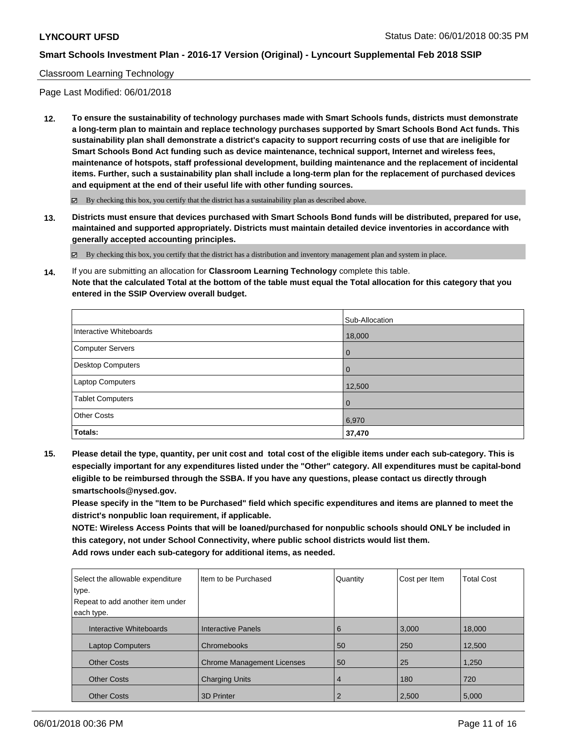### Classroom Learning Technology

Page Last Modified: 06/01/2018

**12. To ensure the sustainability of technology purchases made with Smart Schools funds, districts must demonstrate a long-term plan to maintain and replace technology purchases supported by Smart Schools Bond Act funds. This sustainability plan shall demonstrate a district's capacity to support recurring costs of use that are ineligible for Smart Schools Bond Act funding such as device maintenance, technical support, Internet and wireless fees, maintenance of hotspots, staff professional development, building maintenance and the replacement of incidental items. Further, such a sustainability plan shall include a long-term plan for the replacement of purchased devices and equipment at the end of their useful life with other funding sources.**

 $\boxtimes$  By checking this box, you certify that the district has a sustainability plan as described above.

**13. Districts must ensure that devices purchased with Smart Schools Bond funds will be distributed, prepared for use, maintained and supported appropriately. Districts must maintain detailed device inventories in accordance with generally accepted accounting principles.**

By checking this box, you certify that the district has a distribution and inventory management plan and system in place.

**14.** If you are submitting an allocation for **Classroom Learning Technology** complete this table. **Note that the calculated Total at the bottom of the table must equal the Total allocation for this category that you entered in the SSIP Overview overall budget.**

|                         | Sub-Allocation |
|-------------------------|----------------|
| Interactive Whiteboards | 18,000         |
| Computer Servers        | $\overline{0}$ |
| Desktop Computers       | $\overline{0}$ |
| Laptop Computers        | 12,500         |
| <b>Tablet Computers</b> | $\overline{0}$ |
| <b>Other Costs</b>      | 6,970          |
| Totals:                 | 37,470         |

**15. Please detail the type, quantity, per unit cost and total cost of the eligible items under each sub-category. This is especially important for any expenditures listed under the "Other" category. All expenditures must be capital-bond eligible to be reimbursed through the SSBA. If you have any questions, please contact us directly through smartschools@nysed.gov.**

**Please specify in the "Item to be Purchased" field which specific expenditures and items are planned to meet the district's nonpublic loan requirement, if applicable.**

**NOTE: Wireless Access Points that will be loaned/purchased for nonpublic schools should ONLY be included in this category, not under School Connectivity, where public school districts would list them. Add rows under each sub-category for additional items, as needed.**

| Select the allowable expenditure | I Item to be Purchased            | Quantity       | Cost per Item | <b>Total Cost</b> |
|----------------------------------|-----------------------------------|----------------|---------------|-------------------|
| type.                            |                                   |                |               |                   |
| Repeat to add another item under |                                   |                |               |                   |
| each type.                       |                                   |                |               |                   |
| Interactive Whiteboards          | Interactive Panels                | 6              | 3.000         | 18,000            |
| <b>Laptop Computers</b>          | Chromebooks                       | 50             | 250           | 12,500            |
| <b>Other Costs</b>               | <b>Chrome Management Licenses</b> | 50             | 25            | 1,250             |
| <b>Other Costs</b>               | <b>Charging Units</b>             | 4              | 180           | 720               |
| <b>Other Costs</b>               | 3D Printer                        | $\overline{2}$ | 2,500         | 5,000             |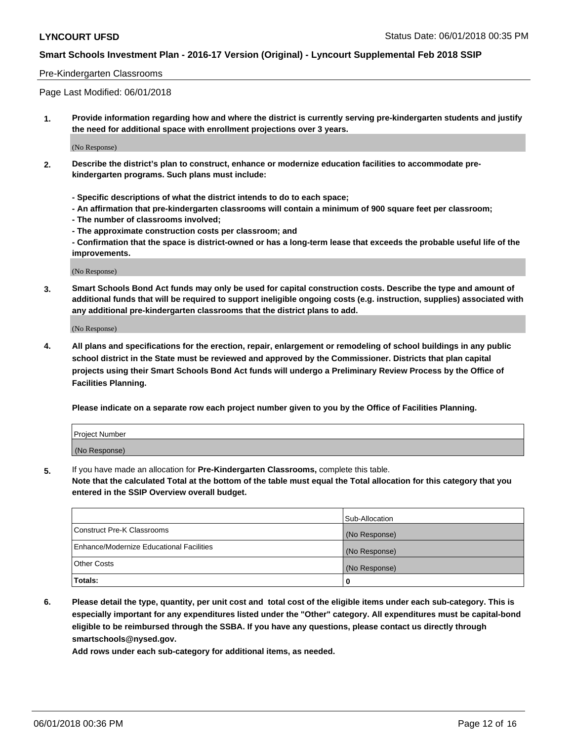#### Pre-Kindergarten Classrooms

Page Last Modified: 06/01/2018

**1. Provide information regarding how and where the district is currently serving pre-kindergarten students and justify the need for additional space with enrollment projections over 3 years.**

(No Response)

- **2. Describe the district's plan to construct, enhance or modernize education facilities to accommodate prekindergarten programs. Such plans must include:**
	- **Specific descriptions of what the district intends to do to each space;**
	- **An affirmation that pre-kindergarten classrooms will contain a minimum of 900 square feet per classroom;**
	- **The number of classrooms involved;**
	- **The approximate construction costs per classroom; and**
	- **Confirmation that the space is district-owned or has a long-term lease that exceeds the probable useful life of the improvements.**

(No Response)

**3. Smart Schools Bond Act funds may only be used for capital construction costs. Describe the type and amount of additional funds that will be required to support ineligible ongoing costs (e.g. instruction, supplies) associated with any additional pre-kindergarten classrooms that the district plans to add.**

(No Response)

**4. All plans and specifications for the erection, repair, enlargement or remodeling of school buildings in any public school district in the State must be reviewed and approved by the Commissioner. Districts that plan capital projects using their Smart Schools Bond Act funds will undergo a Preliminary Review Process by the Office of Facilities Planning.**

**Please indicate on a separate row each project number given to you by the Office of Facilities Planning.**

| <b>Project Number</b> |  |
|-----------------------|--|
| (No Response)         |  |

**5.** If you have made an allocation for **Pre-Kindergarten Classrooms,** complete this table.

**Note that the calculated Total at the bottom of the table must equal the Total allocation for this category that you entered in the SSIP Overview overall budget.**

|                                          | Sub-Allocation |
|------------------------------------------|----------------|
| Construct Pre-K Classrooms               | (No Response)  |
| Enhance/Modernize Educational Facilities | (No Response)  |
| Other Costs                              | (No Response)  |
| Totals:                                  | 0              |

**6. Please detail the type, quantity, per unit cost and total cost of the eligible items under each sub-category. This is especially important for any expenditures listed under the "Other" category. All expenditures must be capital-bond eligible to be reimbursed through the SSBA. If you have any questions, please contact us directly through smartschools@nysed.gov.**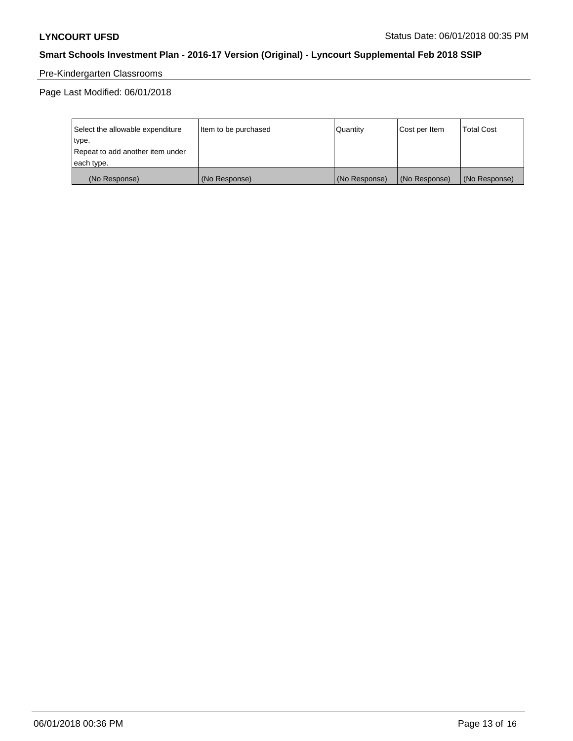# Pre-Kindergarten Classrooms

Page Last Modified: 06/01/2018

| Select the allowable expenditure | Item to be purchased | <b>Quantity</b> | Cost per Item | <b>Total Cost</b> |
|----------------------------------|----------------------|-----------------|---------------|-------------------|
| type.                            |                      |                 |               |                   |
| Repeat to add another item under |                      |                 |               |                   |
| each type.                       |                      |                 |               |                   |
| (No Response)                    | (No Response)        | (No Response)   | (No Response) | (No Response)     |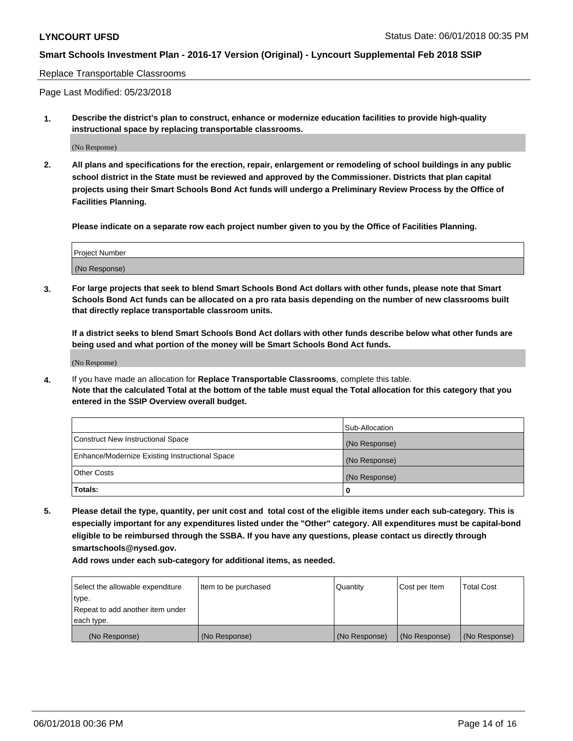#### Replace Transportable Classrooms

Page Last Modified: 05/23/2018

**1. Describe the district's plan to construct, enhance or modernize education facilities to provide high-quality instructional space by replacing transportable classrooms.**

(No Response)

**2. All plans and specifications for the erection, repair, enlargement or remodeling of school buildings in any public school district in the State must be reviewed and approved by the Commissioner. Districts that plan capital projects using their Smart Schools Bond Act funds will undergo a Preliminary Review Process by the Office of Facilities Planning.**

**Please indicate on a separate row each project number given to you by the Office of Facilities Planning.**

| <b>Project Number</b> |  |
|-----------------------|--|
| (No Response)         |  |
|                       |  |

**3. For large projects that seek to blend Smart Schools Bond Act dollars with other funds, please note that Smart Schools Bond Act funds can be allocated on a pro rata basis depending on the number of new classrooms built that directly replace transportable classroom units.**

**If a district seeks to blend Smart Schools Bond Act dollars with other funds describe below what other funds are being used and what portion of the money will be Smart Schools Bond Act funds.**

(No Response)

**4.** If you have made an allocation for **Replace Transportable Classrooms**, complete this table. **Note that the calculated Total at the bottom of the table must equal the Total allocation for this category that you entered in the SSIP Overview overall budget.**

|                                                | Sub-Allocation |
|------------------------------------------------|----------------|
| Construct New Instructional Space              | (No Response)  |
| Enhance/Modernize Existing Instructional Space | (No Response)  |
| Other Costs                                    | (No Response)  |
| Totals:                                        | 0              |

**5. Please detail the type, quantity, per unit cost and total cost of the eligible items under each sub-category. This is especially important for any expenditures listed under the "Other" category. All expenditures must be capital-bond eligible to be reimbursed through the SSBA. If you have any questions, please contact us directly through smartschools@nysed.gov.**

| Select the allowable expenditure | Item to be purchased | Quantity      | Cost per Item | <b>Total Cost</b> |
|----------------------------------|----------------------|---------------|---------------|-------------------|
| type.                            |                      |               |               |                   |
| Repeat to add another item under |                      |               |               |                   |
| each type.                       |                      |               |               |                   |
| (No Response)                    | (No Response)        | (No Response) | (No Response) | (No Response)     |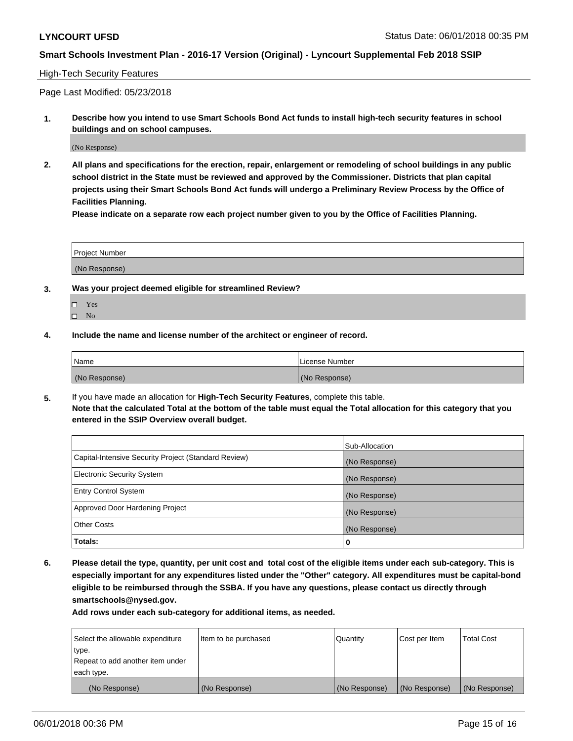### High-Tech Security Features

Page Last Modified: 05/23/2018

**1. Describe how you intend to use Smart Schools Bond Act funds to install high-tech security features in school buildings and on school campuses.**

(No Response)

**2. All plans and specifications for the erection, repair, enlargement or remodeling of school buildings in any public school district in the State must be reviewed and approved by the Commissioner. Districts that plan capital projects using their Smart Schools Bond Act funds will undergo a Preliminary Review Process by the Office of Facilities Planning.** 

**Please indicate on a separate row each project number given to you by the Office of Facilities Planning.**

| <b>Project Number</b> |  |  |
|-----------------------|--|--|
|                       |  |  |
| (No Response)         |  |  |

- **3. Was your project deemed eligible for streamlined Review?**
	- Yes  $\square$  No
- **4. Include the name and license number of the architect or engineer of record.**

| Name          | License Number |
|---------------|----------------|
| (No Response) | (No Response)  |

**5.** If you have made an allocation for **High-Tech Security Features**, complete this table. **Note that the calculated Total at the bottom of the table must equal the Total allocation for this category that you entered in the SSIP Overview overall budget.**

|                                                      | Sub-Allocation |
|------------------------------------------------------|----------------|
| Capital-Intensive Security Project (Standard Review) | (No Response)  |
| <b>Electronic Security System</b>                    | (No Response)  |
| <b>Entry Control System</b>                          | (No Response)  |
| Approved Door Hardening Project                      | (No Response)  |
| <b>Other Costs</b>                                   | (No Response)  |
| Totals:                                              | 0              |

**6. Please detail the type, quantity, per unit cost and total cost of the eligible items under each sub-category. This is especially important for any expenditures listed under the "Other" category. All expenditures must be capital-bond eligible to be reimbursed through the SSBA. If you have any questions, please contact us directly through smartschools@nysed.gov.**

| Select the allowable expenditure | Item to be purchased | Quantity      | Cost per Item | <b>Total Cost</b> |
|----------------------------------|----------------------|---------------|---------------|-------------------|
| type.                            |                      |               |               |                   |
| Repeat to add another item under |                      |               |               |                   |
| each type.                       |                      |               |               |                   |
| (No Response)                    | (No Response)        | (No Response) | (No Response) | (No Response)     |